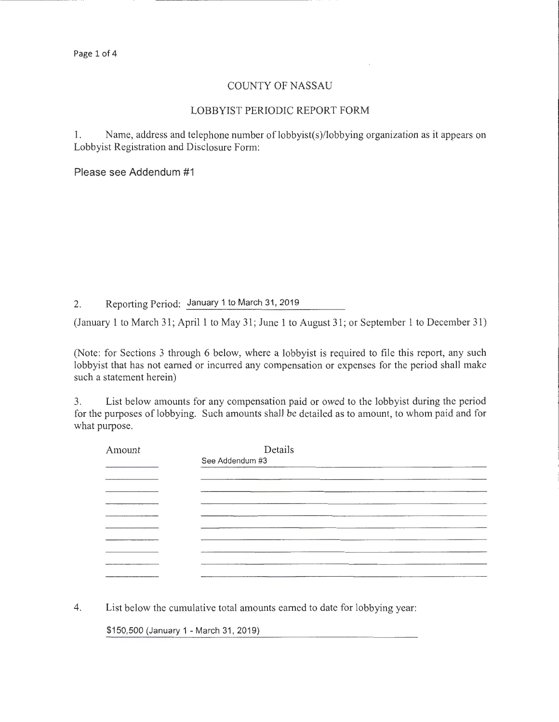#### COUNTY OF NASSAU

#### LOBBYIST PERIODIC REPORT FORM

1. Name, address and telephone number of lobbyist(s)/lobbying organization as it appears on Lobbyist Registration and Disclosure Form:

Please see Addendum #1

2. Reporting Period: January 1 to March 31,2019

(January 1 to March 31; April1 to May 31; June 1 to August 31; or September 1 to December 31)

(Note: for Sections 3 through 6 below, where a lobbyist is required to file this report, any such lobbyist that has not earned or incurred any compensation or expenses for the period shall make such a statement herein)

3. List below amounts for any compensation paid or owed to the lobbyist during the period for the purposes of lobbying. Such amounts shall be detailed as to amount, to whom paid and for what purpose.

| Amount | Details         |
|--------|-----------------|
|        | See Addendum #3 |
|        |                 |
|        |                 |
|        |                 |
|        |                 |
|        |                 |
|        |                 |
|        |                 |
|        |                 |
|        |                 |
|        |                 |

4. List below the cumulative total amounts earned to date for lobbying year:

\$150,500 (January 1- March 31, 2019)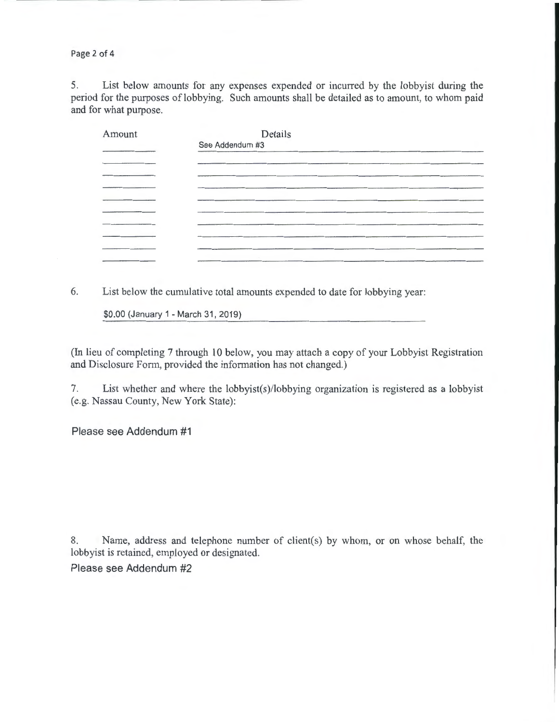Page 2 of 4

5. List below amounts for any expenses expended or incurred by the lobbyist during the period for the purposes of lobbying. Such amounts shall be detailed as to amount, to whom paid and for what purpose.

| Amount | Details                                                                                                                |
|--------|------------------------------------------------------------------------------------------------------------------------|
|        | See Addendum #3                                                                                                        |
|        | _______                                                                                                                |
|        |                                                                                                                        |
|        |                                                                                                                        |
|        | <u> 1980 - An Dùbhlachd ann an Aibhean ann an Comhair ann an Comhair ann an Comhair an Chuidhean ann an Comhair an</u> |
|        |                                                                                                                        |
|        |                                                                                                                        |
|        |                                                                                                                        |
|        |                                                                                                                        |
|        | the company's company's com-                                                                                           |

6. List below the cumulative total amounts expended to date for lobbying year:

\$0.00 (January 1- March 31, 2019)

(In lieu of completing 7 through 10 below, you may attach a copy of your Lobbyist Registration and Disclosure Form, provided the information has not changed.)

7. List whether and where the lobbyist(s )/lobbying organization is registered as a lobbyist (e.g. Nassau County, New York State):

Please see Addendum #1

8. Name, address and telephone number of client(s) by whom, or on whose behalf, the lobbyist is retained, employed or designated.

Please see Addendum #2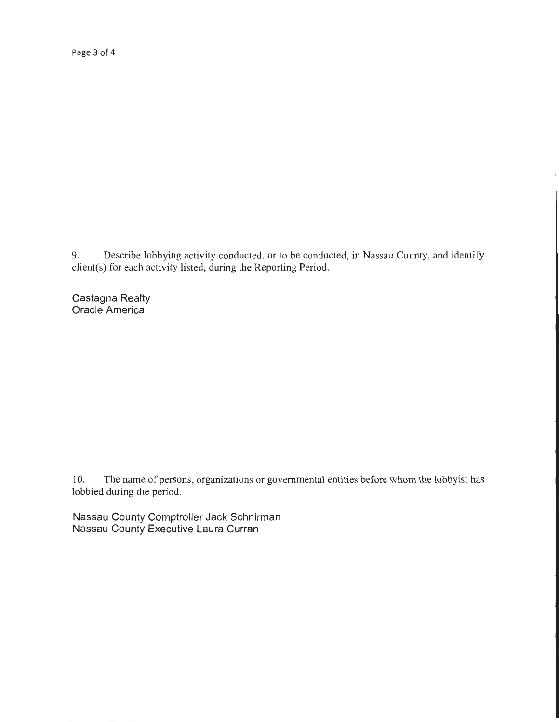Page 3 of 4

9. Describe lobbying activity conducted, or to be conducted, in Nassau County, and identify client(s) for each activity listed, during the Reporting Period.

Castagna Realty Oracle America

10. The name of persons, organizations or governmental entities before whom the lobbyist has lobbied during the period.

Nassau County Comptroller Jack Schnirman Nassau County Executive Laura Curran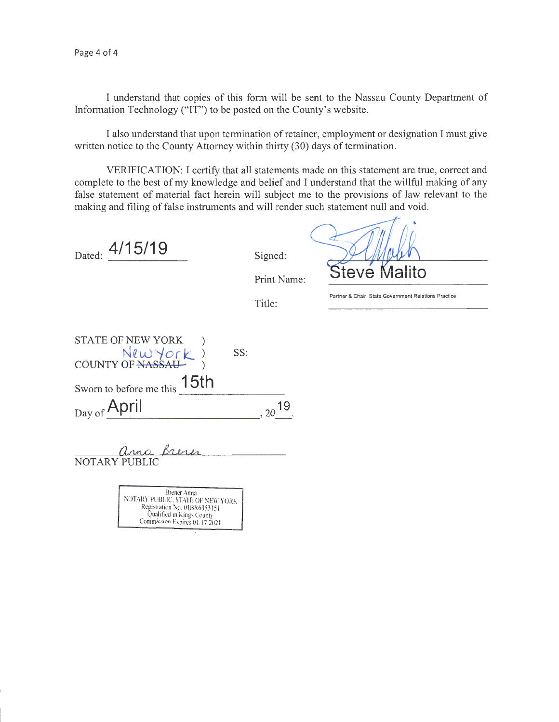I understand that copies of this form will be sent to the Nassau County Department of Information Technology ("IT") to be posted on the County's website.

I also understand that upon termination of retainer, employment or designation I must give written notice to the County Attorney within thirty (30) days of termination.

VERIFICATION: I certify that all statements made on this statement are true, correct and complete to the best of my knowledge and belief and I understand that the willful making of any false statement of material fact herein will subject me to the provisions of law relevant to the making and filing of false instruments and will render such statement null and void.

Dated:  $\frac{4/15/19}{9}$  Signed:

Print Name:

Title:

**Partner & Chair, State Government Relations Practice** 

Steve M

| SS:                                           |    |
|-----------------------------------------------|----|
|                                               |    |
|                                               |    |
|                                               |    |
|                                               | 19 |
| <b>STATE OF NEW YORK</b><br>New York)<br>15th |    |

anna Brene NOTARY PUBLIC

Brener Anna<br>NOTARY PUBLIC, STATE OF NEW YORK Registration No. 01BR6353151 Qualified in Kings County Commission Expires 01.17 2021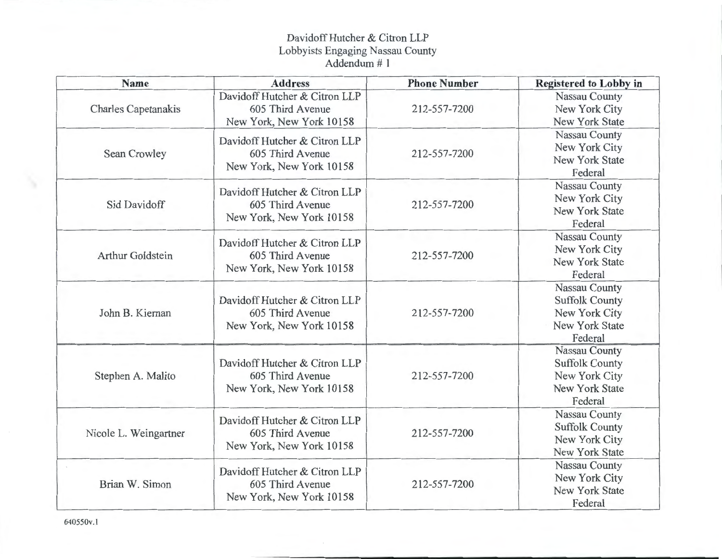## Davidoff Hutcher & Citron LLP Lobbyists Engaging Nassau County Addendum# 1

| Name                       | <b>Address</b>                                                                | <b>Phone Number</b> | <b>Registered to Lobby in</b>                                                               |
|----------------------------|-------------------------------------------------------------------------------|---------------------|---------------------------------------------------------------------------------------------|
| <b>Charles Capetanakis</b> | Davidoff Hutcher & Citron LLP<br>605 Third Avenue<br>New York, New York 10158 | 212-557-7200        | Nassau County<br>New York City<br>New York State                                            |
| Sean Crowley               | Davidoff Hutcher & Citron LLP<br>605 Third Avenue<br>New York, New York 10158 | 212-557-7200        | Nassau County<br>New York City<br>New York State<br>Federal                                 |
| Sid Davidoff               | Davidoff Hutcher & Citron LLP<br>605 Third Avenue<br>New York, New York 10158 | 212-557-7200        | Nassau County<br>New York City<br><b>New York State</b><br>Federal                          |
| <b>Arthur Goldstein</b>    | Davidoff Hutcher & Citron LLP<br>605 Third Avenue<br>New York, New York 10158 | 212-557-7200        | Nassau County<br>New York City<br>New York State<br>Federal                                 |
| John B. Kiernan            | Davidoff Hutcher & Citron LLP<br>605 Third Avenue<br>New York, New York 10158 | 212-557-7200        | Nassau County<br><b>Suffolk County</b><br>New York City<br><b>New York State</b><br>Federal |
| Stephen A. Malito          | Davidoff Hutcher & Citron LLP<br>605 Third Avenue<br>New York, New York 10158 | 212-557-7200        | Nassau County<br><b>Suffolk County</b><br>New York City<br><b>New York State</b><br>Federal |
| Nicole L. Weingartner      | Davidoff Hutcher & Citron LLP<br>605 Third Avenue<br>New York, New York 10158 | 212-557-7200        | Nassau County<br><b>Suffolk County</b><br>New York City<br><b>New York State</b>            |
| Brian W. Simon             | Davidoff Hutcher & Citron LLP<br>605 Third Avenue<br>New York, New York 10158 | 212-557-7200        | Nassau County<br>New York City<br><b>New York State</b><br>Federal                          |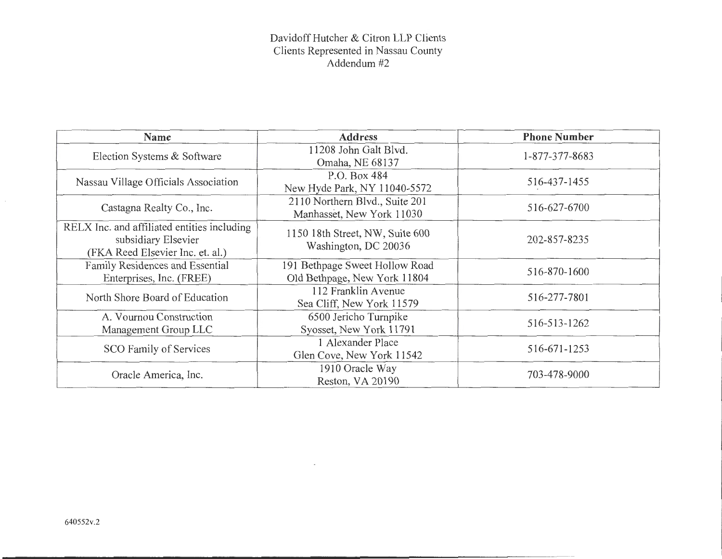#### Davidoff Hutcher & Citron LLP Clients Clients Represented in Nassau County Addendum#2

| <b>Name</b>                                                                                            | <b>Address</b>                                                 | <b>Phone Number</b> |
|--------------------------------------------------------------------------------------------------------|----------------------------------------------------------------|---------------------|
| Election Systems & Software                                                                            | 11208 John Galt Blyd.<br>Omaha, NE 68137                       | 1-877-377-8683      |
| Nassau Village Officials Association                                                                   | P.O. Box 484<br>New Hyde Park, NY 11040-5572                   | 516-437-1455        |
| Castagna Realty Co., Inc.                                                                              | 2110 Northern Blvd., Suite 201<br>Manhasset, New York 11030    | 516-627-6700        |
| RELX Inc. and affiliated entities including<br>subsidiary Elsevier<br>(FKA Reed Elsevier Inc. et. al.) | 11:50 18th Street, NW, Suite 600<br>Washington, DC 20036       | 202-857-8235        |
| Family Residences and Essential<br>Enterprises, Inc. (FREE)                                            | 191 Bethpage Sweet Hollow Road<br>Old Bethpage, New York 11804 | 516-870-1600        |
| North Shore Board of Education                                                                         | 112 Franklin Avenue<br>Sea Cliff, New York 11579               | 516-277-7801        |
| A. Vournou Construction<br>Management Group LLC                                                        | 6500 Jericho Turnpike<br>Syosset, New York 11791               | 516-513-1262        |
| SCO Family of Services                                                                                 | 1 Alexander Place<br>Glen Cove, New York 11542                 | 516-671-1253        |
| Oracle America, Inc.                                                                                   | 1910 Oracle Way<br>Reston, VA 20190                            | 703-478-9000        |